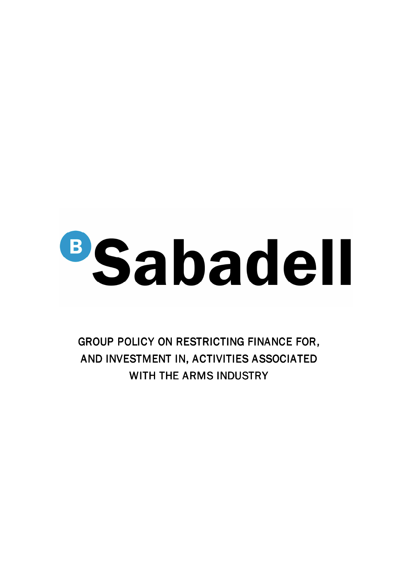

GROUP POLICY ON RESTRICTING FINANCE FOR, AND INVESTMENT IN, ACTIVITIES ASSOCIATED WITH THE ARMS INDUSTRY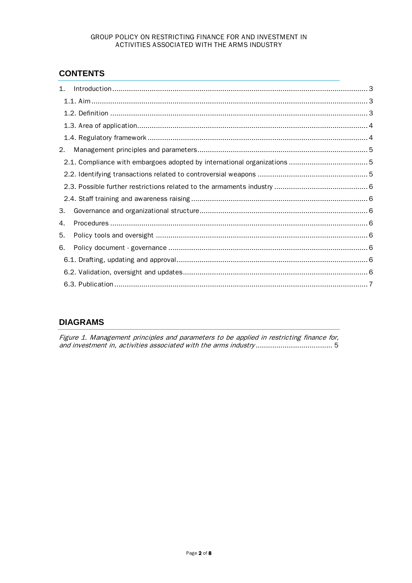## GROUP POLICY ON RESTRICTING FINANCE FOR AND INVESTMENT IN ACTIVITIES ASSOCIATED WITH THE ARMS INDUSTRY

# **CONTENTS**

| 1. |  |
|----|--|
|    |  |
|    |  |
|    |  |
|    |  |
| 2. |  |
|    |  |
|    |  |
|    |  |
|    |  |
| З. |  |
| 4. |  |
| 5. |  |
| 6. |  |
|    |  |
|    |  |
|    |  |
|    |  |

## **DIAGRAMS**

Figure 1. Management principles and parameters to be applied in restricting finance for, and investment in, activities associated with the arms industry ..................................... 5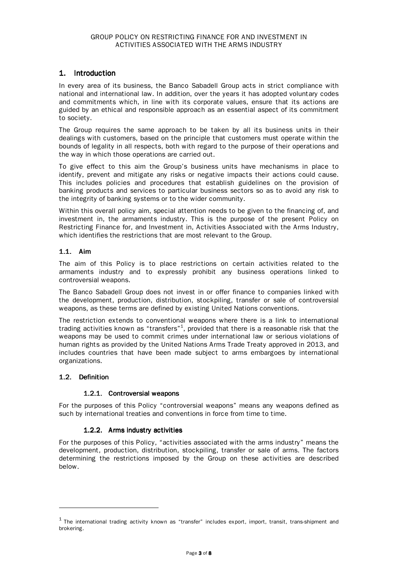## 1. Introduction

In every area of its business, the Banco Sabadell Group acts in strict compliance with national and international law. In addition, over the years it has adopted voluntary codes and commitments which, in line with its corporate values, ensure that its actions are guided by an ethical and responsible approach as an essential aspect of its commitment to society.

The Group requires the same approach to be taken by all its business units in their dealings with customers, based on the principle that customers must operate within the bounds of legality in all respects, both with regard to the purpose of their operations and the way in which those operations are carried out.

To give effect to this aim the Group's business units have mechanisms in place to identify, prevent and mitigate any risks or negative impacts their actions could cause. This includes policies and procedures that establish guidelines on the provision of banking products and services to particular business sectors so as to avoid any risk to the integrity of banking systems or to the wider community.

Within this overall policy aim, special attention needs to be given to the financing of, and investment in, the armaments industry. This is the purpose of the present Policy on Restricting Finance for, and Investment in, Activities Associated with the Arms Industry, which identifies the restrictions that are most relevant to the Group.

## 1.1. Aim

The aim of this Policy is to place restrictions on certain activities related to the armaments industry and to expressly prohibit any business operations linked to controversial weapons.

The Banco Sabadell Group does not invest in or offer finance to companies linked with the development, production, distribution, stockpiling, transfer or sale of controversial weapons, as these terms are defined by existing United Nations conventions.

The restriction extends to conventional weapons where there is a link to international trading activities known as "transfers" $^{\rm 1}$ , provided that there is a reasonable risk that the weapons may be used to commit crimes under international law or serious violations of human rights as provided by the United Nations Arms Trade Treaty approved in 2013, and includes countries that have been made subject to arms embargoes by international organizations.

#### 1.2. Definition

 $\overline{a}$ 

#### 1.2.1. Controversial weapons

For the purposes of this Policy "controversial weapons" means any weapons defined as such by international treaties and conventions in force from time to time.

#### 1.2.2. Arms industry activities

For the purposes of this Policy, "activities associated with the arms industry" means the development, production, distribution, stockpiling, transfer or sale of arms. The factors determining the restrictions imposed by the Group on these activities are described below.

 $^{\rm 1}$  The international trading activity known as "transfer" includes export, import, transit, trans-shipment and brokering.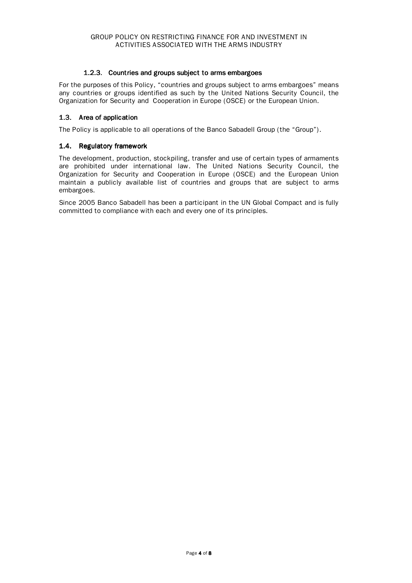## 1.2.3. Countries and groups subject to arms embargoes

For the purposes of this Policy, "countries and groups subject to arms embargoes" means any countries or groups identified as such by the United Nations Security Council, the Organization for Security and Cooperation in Europe (OSCE) or the European Union.

## 1.3. Area of application

The Policy is applicable to all operations of the Banco Sabadell Group (the "Group").

## 1.4. Regulatory framework

The development, production, stockpiling, transfer and use of certain types of armaments are prohibited under international law. The United Nations Security Council, the Organization for Security and Cooperation in Europe (OSCE) and the European Union maintain a publicly available list of countries and groups that are subject to arms embargoes.

Since 2005 Banco Sabadell has been a participant in the UN Global Compact and is fully committed to compliance with each and every one of its principles.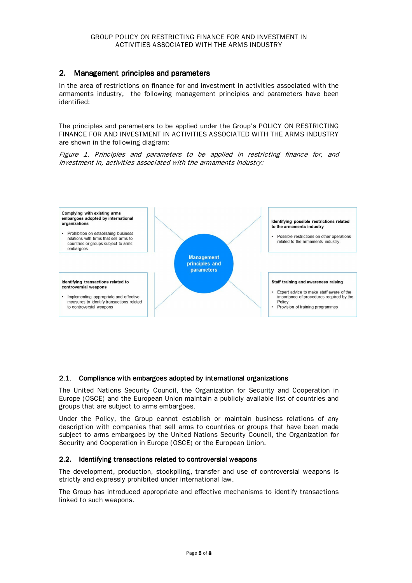## 2. Management principles and parameters

In the area of restrictions on finance for and investment in activities associated with the armaments industry, the following management principles and parameters have been identified:

The principles and parameters to be applied under the Group's POLICY ON RESTRICTING FINANCE FOR AND INVESTMENT IN ACTIVITIES ASSOCIATED WITH THE ARMS INDUSTRY are shown in the following diagram:

Figure 1. Principles and parameters to be applied in restricting finance for, and investment in, activities associated with the armaments industry:



#### 2.1. Compliance with embargoes adopted by international organizations

The United Nations Security Council, the Organization for Security and Cooperation in Europe (OSCE) and the European Union maintain a publicly available list of countries and groups that are subject to arms embargoes.

Under the Policy, the Group cannot establish or maintain business relations of any description with companies that sell arms to countries or groups that have been made subject to arms embargoes by the United Nations Security Council, the Organization for Security and Cooperation in Europe (OSCE) or the European Union.

#### 2.2. Identifying transactions related to controversial weapons

The development, production, stockpiling, transfer and use of controversial weapons is strictly and expressly prohibited under international law.

The Group has introduced appropriate and effective mechanisms to identify transactions linked to such weapons.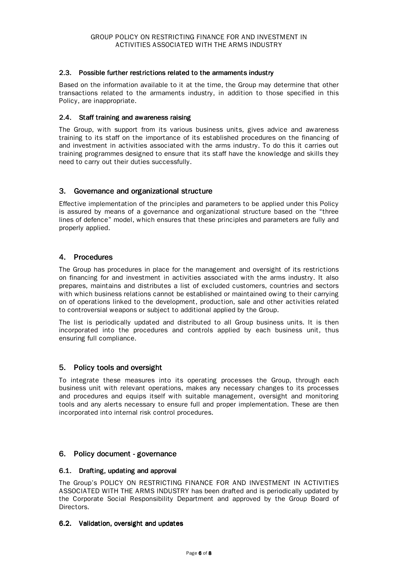#### 2.3. Possible further restrictions related to the armaments industry

Based on the information available to it at the time, the Group may determine that other transactions related to the armaments industry, in addition to those specified in this Policy, are inappropriate.

#### 2.4. Staff training and awareness raising

The Group, with support from its various business units, gives advice and awareness training to its staff on the importance of its established procedures on the financing of and investment in activities associated with the arms industry. To do this it carries out training programmes designed to ensure that its staff have the knowledge and skills they need to carry out their duties successfully.

#### 3. Governance and organizational structure

Effective implementation of the principles and parameters to be applied under this Policy is assured by means of a governance and organizational structure based on the "three lines of defence" model, which ensures that these principles and parameters are fully and properly applied.

## 4. Procedures

The Group has procedures in place for the management and oversight of its restrictions on financing for and investment in activities associated with the arms industry. It also prepares, maintains and distributes a list of excluded customers, countries and sectors with which business relations cannot be established or maintained owing to their carrying on of operations linked to the development, production, sale and other activities related to controversial weapons or subject to additional applied by the Group.

The list is periodically updated and distributed to all Group business units. It is then incorporated into the procedures and controls applied by each business unit, thus ensuring full compliance.

#### 5. Policy tools and oversight

To integrate these measures into its operating processes the Group, through each business unit with relevant operations, makes any necessary changes to its processes and procedures and equips itself with suitable management, oversight and monitoring tools and any alerts necessary to ensure full and proper implementation. These are then incorporated into internal risk control procedures.

## 6. Policy document - governance

#### 6.1. Drafting, updating and approval

The Group's POLICY ON RESTRICTING FINANCE FOR AND INVESTMENT IN ACTIVITIES ASSOCIATED WITH THE ARMS INDUSTRY has been drafted and is periodically updated by the Corporate Social Responsibility Department and approved by the Group Board of Directors.

#### 6.2. Validation, oversight and updates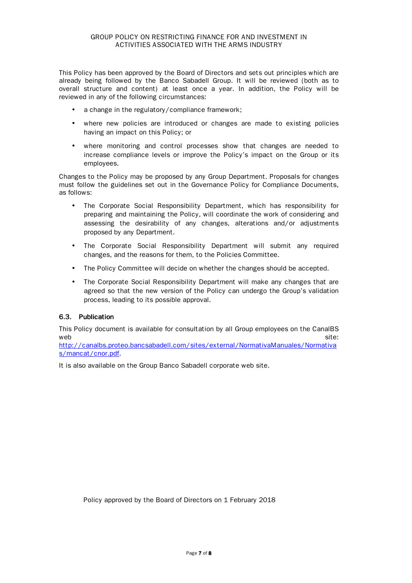This Policy has been approved by the Board of Directors and sets out principles which are already being followed by the Banco Sabadell Group. It will be reviewed (both as to overall structure and content) at least once a year. In addition, the Policy will be reviewed in any of the following circumstances:

- a change in the regulatory/compliance framework;
- where new policies are introduced or changes are made to existing policies having an impact on this Policy; or
- where monitoring and control processes show that changes are needed to increase compliance levels or improve the Policy's impact on the Group or its employees.

Changes to the Policy may be proposed by any Group Department. Proposals for changes must follow the guidelines set out in the Governance Policy for Compliance Documents, as follows:

- The Corporate Social Responsibility Department, which has responsibility for preparing and maintaining the Policy, will coordinate the work of considering and assessing the desirability of any changes, alterations and/or adjustments proposed by any Department.
- The Corporate Social Responsibility Department will submit any required changes, and the reasons for them, to the Policies Committee.
- The Policy Committee will decide on whether the changes should be accepted.
- The Corporate Social Responsibility Department will make any changes that are agreed so that the new version of the Policy can undergo the Group's validation process, leading to its possible approval.

## 6.3. Publication

This Policy document is available for consultation by all Group employees on the CanalBS  $w$ eb site:  $\sim$  site:  $\sim$  site:  $\sim$  site:  $\sim$ 

http://canalbs.proteo.bancsabadell.com/sites/external/NormativaManuales/Normativa s/mancat/cnor.pdf.

It is also available on the Group Banco Sabadell corporate web site.

Policy approved by the Board of Directors on 1 February 2018